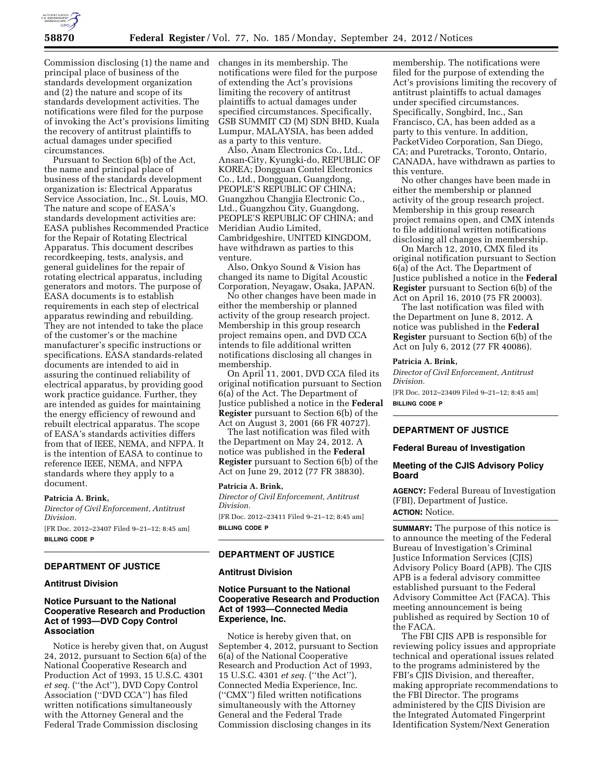

Commission disclosing (1) the name and changes in its membership. The principal place of business of the standards development organization and (2) the nature and scope of its standards development activities. The notifications were filed for the purpose of invoking the Act's provisions limiting the recovery of antitrust plaintiffs to actual damages under specified circumstances.

Pursuant to Section 6(b) of the Act, the name and principal place of business of the standards development organization is: Electrical Apparatus Service Association, Inc., St. Louis, MO. The nature and scope of EASA's standards development activities are: EASA publishes Recommended Practice for the Repair of Rotating Electrical Apparatus. This document describes recordkeeping, tests, analysis, and general guidelines for the repair of rotating electrical apparatus, including generators and motors. The purpose of EASA documents is to establish requirements in each step of electrical apparatus rewinding and rebuilding. They are not intended to take the place of the customer's or the machine manufacturer's specific instructions or specifications. EASA standards-related documents are intended to aid in assuring the continued reliability of electrical apparatus, by providing good work practice guidance. Further, they are intended as guides for maintaining the energy efficiency of rewound and rebuilt electrical apparatus. The scope of EASA's standards activities differs from that of IEEE, NEMA, and NFPA. It is the intention of EASA to continue to reference IEEE, NEMA, and NFPA standards where they apply to a document.

#### **Patricia A. Brink,**

*Director of Civil Enforcement, Antitrust Division.*  [FR Doc. 2012–23407 Filed 9–21–12; 8:45 am]

**BILLING CODE P** 

#### **DEPARTMENT OF JUSTICE**

#### **Antitrust Division**

# **Notice Pursuant to the National Cooperative Research and Production Act of 1993—DVD Copy Control Association**

Notice is hereby given that, on August 24, 2012, pursuant to Section 6(a) of the National Cooperative Research and Production Act of 1993, 15 U.S.C. 4301 *et seq.* (''the Act''), DVD Copy Control Association (''DVD CCA'') has filed written notifications simultaneously with the Attorney General and the Federal Trade Commission disclosing

notifications were filed for the purpose of extending the Act's provisions limiting the recovery of antitrust plaintiffs to actual damages under specified circumstances. Specifically, GSB SUMMIT CD (M) SDN BHD, Kuala Lumpur, MALAYSIA, has been added as a party to this venture.

Also, Anam Electronics Co., Ltd., Ansan-City, Kyungki-do, REPUBLIC OF KOREA; Dongguan Contel Electronics Co., Ltd., Dongguan, Guangdong, PEOPLE'S REPUBLIC OF CHINA; Guangzhou Changjia Electronic Co., Ltd., Guangzhou City, Guangdong, PEOPLE'S REPUBLIC OF CHINA; and Meridian Audio Limited, Cambridgeshire, UNITED KINGDOM, have withdrawn as parties to this venture.

Also, Onkyo Sound & Vision has changed its name to Digital Acoustic Corporation, Neyagaw, Osaka, JAPAN.

No other changes have been made in either the membership or planned activity of the group research project. Membership in this group research project remains open, and DVD CCA intends to file additional written notifications disclosing all changes in membership.

On April 11, 2001, DVD CCA filed its original notification pursuant to Section 6(a) of the Act. The Department of Justice published a notice in the **Federal Register** pursuant to Section 6(b) of the Act on August 3, 2001 (66 FR 40727).

The last notification was filed with the Department on May 24, 2012. A notice was published in the **Federal Register** pursuant to Section 6(b) of the Act on June 29, 2012 (77 FR 38830).

# **Patricia A. Brink,**

*Director of Civil Enforcement, Antitrust Division.* 

[FR Doc. 2012–23411 Filed 9–21–12; 8:45 am] **BILLING CODE P** 

## **DEPARTMENT OF JUSTICE**

#### **Antitrust Division**

# **Notice Pursuant to the National Cooperative Research and Production Act of 1993—Connected Media Experience, Inc.**

Notice is hereby given that, on September 4, 2012, pursuant to Section 6(a) of the National Cooperative Research and Production Act of 1993, 15 U.S.C. 4301 *et seq.* (''the Act''), Connected Media Experience, Inc. (''CMX'') filed written notifications simultaneously with the Attorney General and the Federal Trade Commission disclosing changes in its

membership. The notifications were filed for the purpose of extending the Act's provisions limiting the recovery of antitrust plaintiffs to actual damages under specified circumstances. Specifically, Songbird, Inc., San Francisco, CA, has been added as a party to this venture. In addition, PacketVideo Corporation, San Diego, CA; and Puretracks, Toronto, Ontario, CANADA, have withdrawn as parties to this venture.

No other changes have been made in either the membership or planned activity of the group research project. Membership in this group research project remains open, and CMX intends to file additional written notifications disclosing all changes in membership.

On March 12, 2010, CMX filed its original notification pursuant to Section 6(a) of the Act. The Department of Justice published a notice in the **Federal Register** pursuant to Section 6(b) of the Act on April 16, 2010 (75 FR 20003).

The last notification was filed with the Department on June 8, 2012. A notice was published in the **Federal Register** pursuant to Section 6(b) of the Act on July 6, 2012 (77 FR 40086).

## **Patricia A. Brink,**

*Director of Civil Enforcement, Antitrust Division.* 

[FR Doc. 2012–23409 Filed 9–21–12; 8:45 am] **BILLING CODE P** 

### **DEPARTMENT OF JUSTICE**

#### **Federal Bureau of Investigation**

### **Meeting of the CJIS Advisory Policy Board**

**AGENCY:** Federal Bureau of Investigation (FBI), Department of Justice. **ACTION:** Notice.

**SUMMARY:** The purpose of this notice is to announce the meeting of the Federal Bureau of Investigation's Criminal Justice Information Services (CJIS) Advisory Policy Board (APB). The CJIS APB is a federal advisory committee established pursuant to the Federal Advisory Committee Act (FACA). This meeting announcement is being published as required by Section 10 of the FACA.

The FBI CJIS APB is responsible for reviewing policy issues and appropriate technical and operational issues related to the programs administered by the FBI's CJIS Division, and thereafter, making appropriate recommendations to the FBI Director. The programs administered by the CJIS Division are the Integrated Automated Fingerprint Identification System/Next Generation